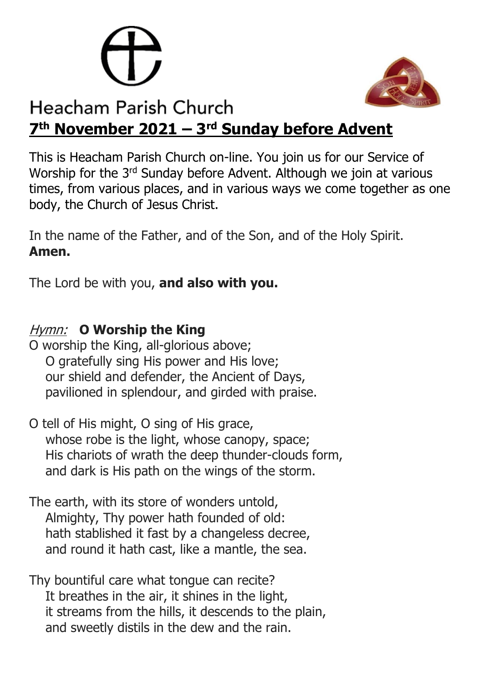



# Heacham Parish Church **7 th November 2021 – 3 rd Sunday before Advent**

This is Heacham Parish Church on-line. You join us for our Service of Worship for the 3<sup>rd</sup> Sunday before Advent. Although we join at various times, from various places, and in various ways we come together as one body, the Church of Jesus Christ.

In the name of the Father, and of the Son, and of the Holy Spirit. **Amen.**

The Lord be with you, **and also with you.**

# Hymn: **O Worship the King**

- O worship the King, all-glorious above; O gratefully sing His power and His love; our shield and defender, the Ancient of Days, pavilioned in splendour, and girded with praise.
- O tell of His might, O sing of His grace, whose robe is the light, whose canopy, space; His chariots of wrath the deep thunder-clouds form, and dark is His path on the wings of the storm.
- The earth, with its store of wonders untold, Almighty, Thy power hath founded of old: hath stablished it fast by a changeless decree, and round it hath cast, like a mantle, the sea.
- Thy bountiful care what tongue can recite? It breathes in the air, it shines in the light, it streams from the hills, it descends to the plain, and sweetly distils in the dew and the rain.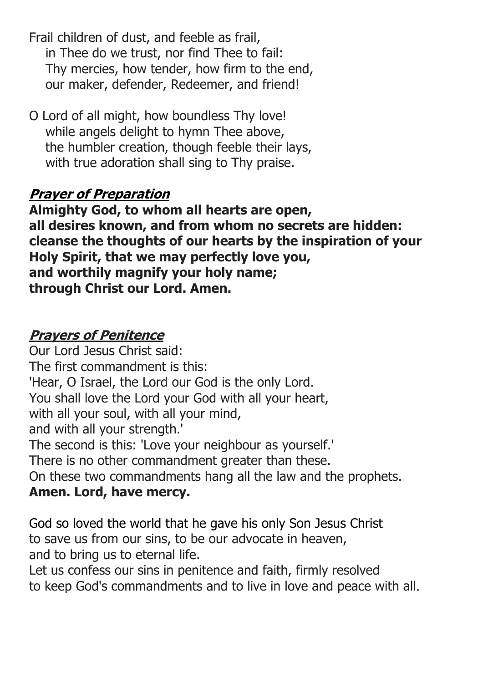Frail children of dust, and feeble as frail, in Thee do we trust, nor find Thee to fail: Thy mercies, how tender, how firm to the end, our maker, defender, Redeemer, and friend!

O Lord of all might, how boundless Thy love! while angels delight to hymn Thee above, the humbler creation, though feeble their lays, with true adoration shall sing to Thy praise.

# **Prayer of Preparation**

**Almighty God, to whom all hearts are open, all desires known, and from whom no secrets are hidden: cleanse the thoughts of our hearts by the inspiration of your Holy Spirit, that we may perfectly love you, and worthily magnify your holy name; through Christ our Lord. Amen.**

## **Prayers of Penitence**

Our Lord Jesus Christ said: The first commandment is this: 'Hear, O Israel, the Lord our God is the only Lord. You shall love the Lord your God with all your heart, with all your soul, with all your mind, and with all your strength.' The second is this: 'Love your neighbour as yourself.' There is no other commandment greater than these. On these two commandments hang all the law and the prophets. **Amen. Lord, have mercy.**

God so loved the world that he gave his only Son Jesus Christ to save us from our sins, to be our advocate in heaven, and to bring us to eternal life.

Let us confess our sins in penitence and faith, firmly resolved to keep God's commandments and to live in love and peace with all.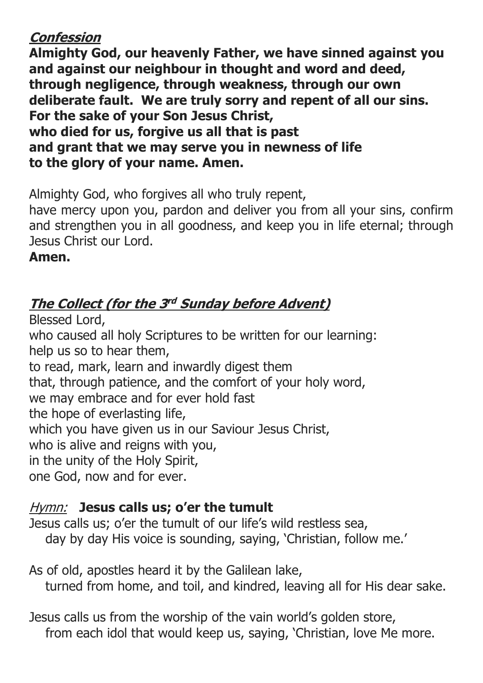## **Confession**

**Almighty God, our heavenly Father, we have sinned against you and against our neighbour in thought and word and deed, through negligence, through weakness, through our own deliberate fault. We are truly sorry and repent of all our sins. For the sake of your Son Jesus Christ, who died for us, forgive us all that is past and grant that we may serve you in newness of life to the glory of your name. Amen.**

Almighty God, who forgives all who truly repent,

have mercy upon you, pardon and deliver you from all your sins, confirm and strengthen you in all goodness, and keep you in life eternal; through Jesus Christ our Lord.

**Amen.**

# **The Collect (for the 3 rd Sunday before Advent)**

Blessed Lord, who caused all holy Scriptures to be written for our learning: help us so to hear them, to read, mark, learn and inwardly digest them that, through patience, and the comfort of your holy word, we may embrace and for ever hold fast the hope of everlasting life, which you have given us in our Saviour Jesus Christ, who is alive and reigns with you, in the unity of the Holy Spirit, one God, now and for ever.

## Hymn: **Jesus calls us; o'er the tumult**

Jesus calls us; o'er the tumult of our life's wild restless sea, day by day His voice is sounding, saying, 'Christian, follow me.'

As of old, apostles heard it by the Galilean lake,

turned from home, and toil, and kindred, leaving all for His dear sake.

Jesus calls us from the worship of the vain world's golden store, from each idol that would keep us, saying, 'Christian, love Me more.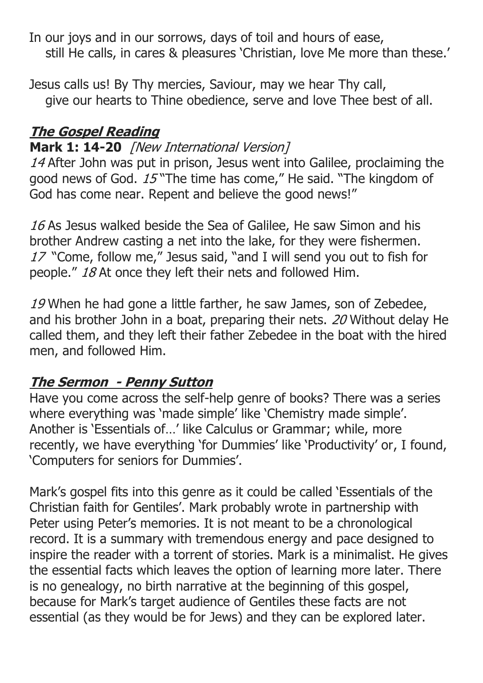- In our joys and in our sorrows, days of toil and hours of ease, still He calls, in cares & pleasures 'Christian, love Me more than these.'
- Jesus calls us! By Thy mercies, Saviour, may we hear Thy call, give our hearts to Thine obedience, serve and love Thee best of all.

## **The Gospel Reading**

## **Mark 1: 14-20** [New International Version]

14 After John was put in prison, Jesus went into Galilee, proclaiming the good news of God. 15"The time has come," He said. "The kingdom of God has come near. Repent and believe the good news!"

16 As Jesus walked beside the Sea of Galilee, He saw Simon and his brother Andrew casting a net into the lake, for they were fishermen. 17 "Come, follow me," Jesus said, "and I will send you out to fish for people." 18 At once they left their nets and followed Him.

19 When he had gone a little farther, he saw James, son of Zebedee, and his brother John in a boat, preparing their nets. 20 Without delay He called them, and they left their father Zebedee in the boat with the hired men, and followed Him.

## **The Sermon - Penny Sutton**

Have you come across the self-help genre of books? There was a series where everything was 'made simple' like 'Chemistry made simple'. Another is 'Essentials of…' like Calculus or Grammar; while, more recently, we have everything 'for Dummies' like 'Productivity' or, I found, 'Computers for seniors for Dummies'.

Mark's gospel fits into this genre as it could be called 'Essentials of the Christian faith for Gentiles'. Mark probably wrote in partnership with Peter using Peter's memories. It is not meant to be a chronological record. It is a summary with tremendous energy and pace designed to inspire the reader with a torrent of stories. Mark is a minimalist. He gives the essential facts which leaves the option of learning more later. There is no genealogy, no birth narrative at the beginning of this gospel, because for Mark's target audience of Gentiles these facts are not essential (as they would be for Jews) and they can be explored later.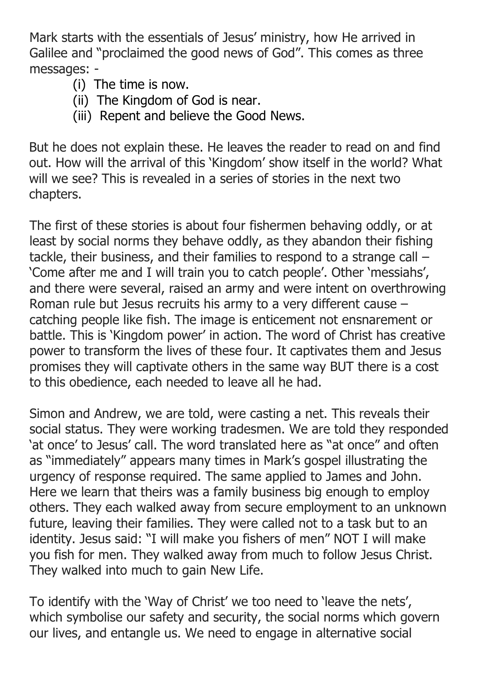Mark starts with the essentials of Jesus' ministry, how He arrived in Galilee and "proclaimed the good news of God". This comes as three messages: -

- (i) The time is now.
- (ii) The Kingdom of God is near.
- (iii) Repent and believe the Good News.

But he does not explain these. He leaves the reader to read on and find out. How will the arrival of this 'Kingdom' show itself in the world? What will we see? This is revealed in a series of stories in the next two chapters.

The first of these stories is about four fishermen behaving oddly, or at least by social norms they behave oddly, as they abandon their fishing tackle, their business, and their families to respond to a strange call – 'Come after me and I will train you to catch people'. Other 'messiahs', and there were several, raised an army and were intent on overthrowing Roman rule but Jesus recruits his army to a very different cause – catching people like fish. The image is enticement not ensnarement or battle. This is 'Kingdom power' in action. The word of Christ has creative power to transform the lives of these four. It captivates them and Jesus promises they will captivate others in the same way BUT there is a cost to this obedience, each needed to leave all he had.

Simon and Andrew, we are told, were casting a net. This reveals their social status. They were working tradesmen. We are told they responded 'at once' to Jesus' call. The word translated here as "at once" and often as "immediately" appears many times in Mark's gospel illustrating the urgency of response required. The same applied to James and John. Here we learn that theirs was a family business big enough to employ others. They each walked away from secure employment to an unknown future, leaving their families. They were called not to a task but to an identity. Jesus said: "I will make you fishers of men" NOT I will make you fish for men. They walked away from much to follow Jesus Christ. They walked into much to gain New Life.

To identify with the 'Way of Christ' we too need to 'leave the nets', which symbolise our safety and security, the social norms which govern our lives, and entangle us. We need to engage in alternative social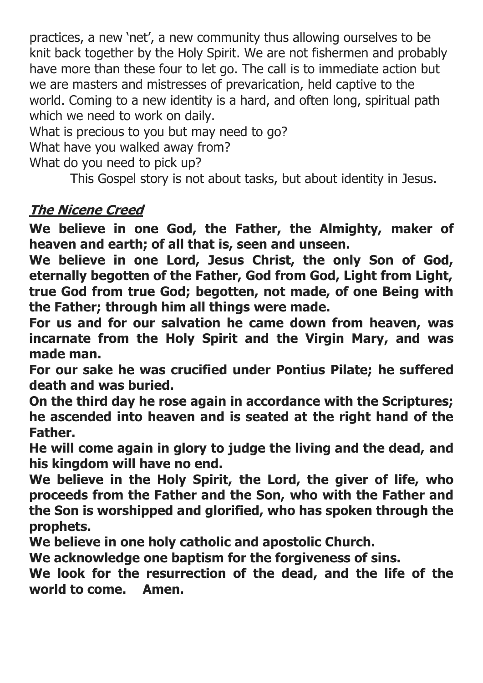practices, a new 'net', a new community thus allowing ourselves to be knit back together by the Holy Spirit. We are not fishermen and probably have more than these four to let go. The call is to immediate action but we are masters and mistresses of prevarication, held captive to the world. Coming to a new identity is a hard, and often long, spiritual path which we need to work on daily.

What is precious to you but may need to go?

What have you walked away from?

What do you need to pick up?

This Gospel story is not about tasks, but about identity in Jesus.

#### **The Nicene Creed**

**We believe in one God, the Father, the Almighty, maker of heaven and earth; of all that is, seen and unseen.**

**We believe in one Lord, Jesus Christ, the only Son of God, eternally begotten of the Father, God from God, Light from Light, true God from true God; begotten, not made, of one Being with the Father; through him all things were made.** 

**For us and for our salvation he came down from heaven, was incarnate from the Holy Spirit and the Virgin Mary, and was made man.**

**For our sake he was crucified under Pontius Pilate; he suffered death and was buried.**

**On the third day he rose again in accordance with the Scriptures; he ascended into heaven and is seated at the right hand of the Father.**

**He will come again in glory to judge the living and the dead, and his kingdom will have no end.**

**We believe in the Holy Spirit, the Lord, the giver of life, who proceeds from the Father and the Son, who with the Father and the Son is worshipped and glorified, who has spoken through the prophets.**

**We believe in one holy catholic and apostolic Church.**

**We acknowledge one baptism for the forgiveness of sins.**

**We look for the resurrection of the dead, and the life of the world to come. Amen.**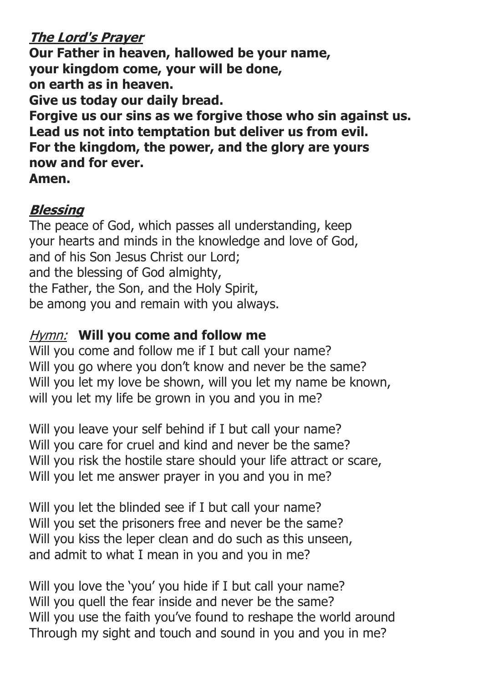#### **The Lord's Prayer**

**Our Father in heaven, hallowed be your name, your kingdom come, your will be done, on earth as in heaven. Give us today our daily bread. Forgive us our sins as we forgive those who sin against us. Lead us not into temptation but deliver us from evil. For the kingdom, the power, and the glory are yours now and for ever. Amen.**

#### **Blessing**

The peace of God, which passes all understanding, keep your hearts and minds in the knowledge and love of God, and of his Son Jesus Christ our Lord; and the blessing of God almighty, the Father, the Son, and the Holy Spirit, be among you and remain with you always.

#### Hymn: **Will you come and follow me**

Will you come and follow me if I but call your name? Will you go where you don't know and never be the same? Will you let my love be shown, will you let my name be known, will you let my life be grown in you and you in me?

Will you leave your self behind if I but call your name? Will you care for cruel and kind and never be the same? Will you risk the hostile stare should your life attract or scare, Will you let me answer prayer in you and you in me?

Will you let the blinded see if I but call your name? Will you set the prisoners free and never be the same? Will you kiss the leper clean and do such as this unseen, and admit to what I mean in you and you in me?

Will you love the 'you' you hide if I but call your name? Will you quell the fear inside and never be the same? Will you use the faith you've found to reshape the world around Through my sight and touch and sound in you and you in me?